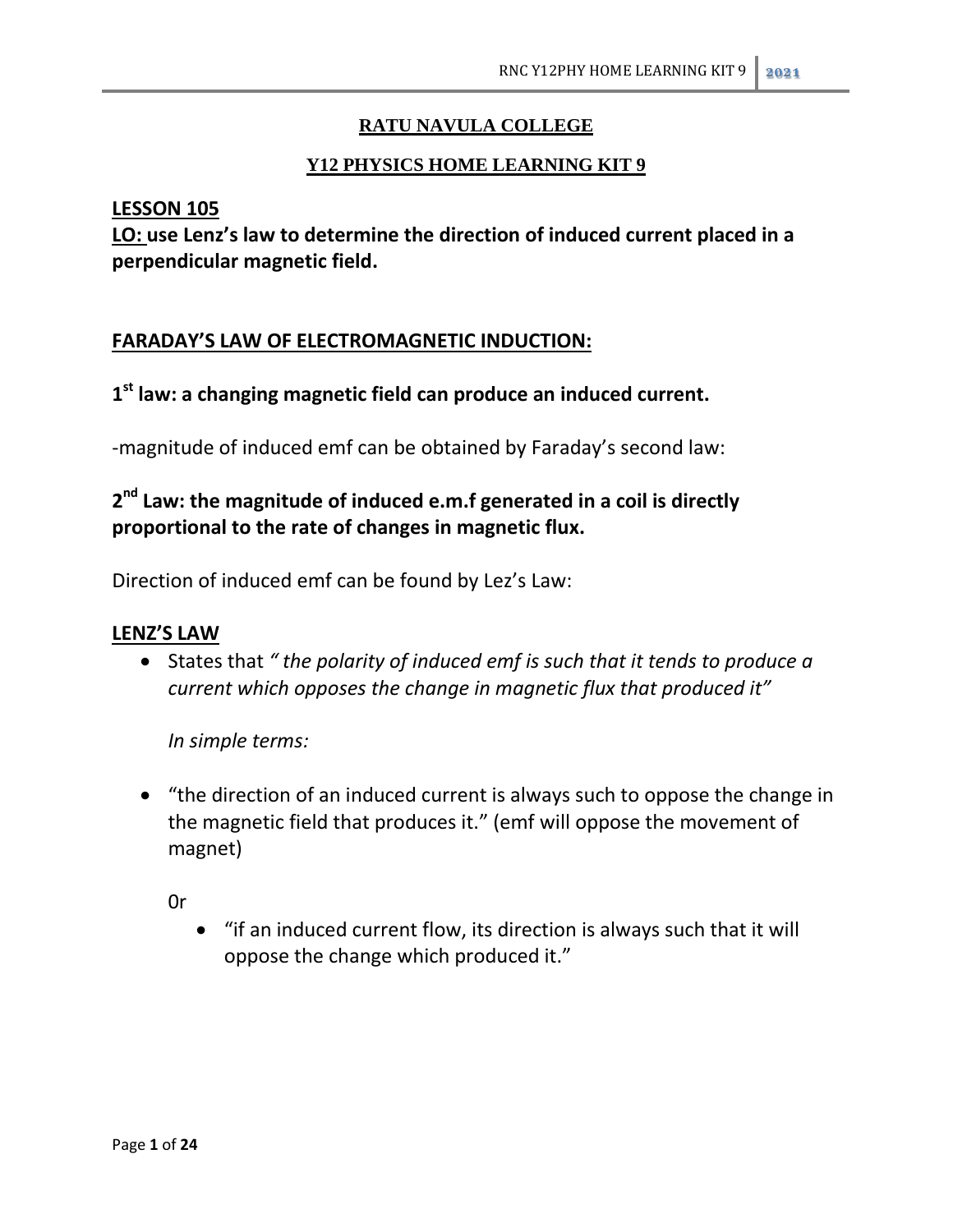# **RATU NAVULA COLLEGE**

# **Y12 PHYSICS HOME LEARNING KIT 9**

### **LESSON 105**

**LO: use Lenz's law to determine the direction of induced current placed in a perpendicular magnetic field.**

# **FARADAY'S LAW OF ELECTROMAGNETIC INDUCTION:**

# **1 st law: a changing magnetic field can produce an induced current.**

-magnitude of induced emf can be obtained by Faraday's second law:

# **2 nd Law: the magnitude of induced e.m.f generated in a coil is directly proportional to the rate of changes in magnetic flux.**

Direction of induced emf can be found by Lez's Law:

# **LENZ'S LAW**

 States that *" the polarity of induced emf is such that it tends to produce a current which opposes the change in magnetic flux that produced it"*

*In simple terms:*

 "the direction of an induced current is always such to oppose the change in the magnetic field that produces it." (emf will oppose the movement of magnet)

0r

 "if an induced current flow, its direction is always such that it will oppose the change which produced it."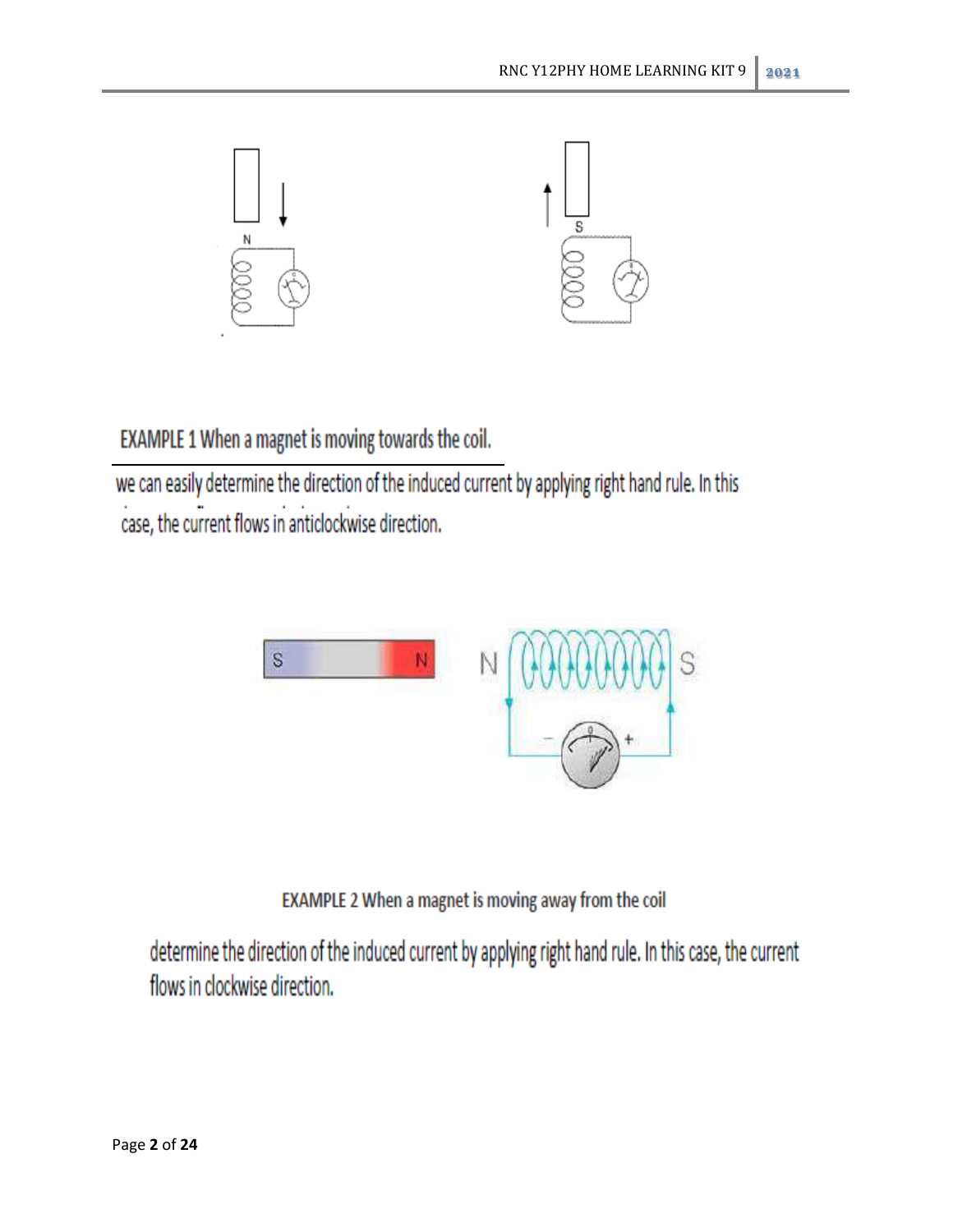

EXAMPLE 1 When a magnet is moving towards the coil.

we can easily determine the direction of the induced current by applying right hand rule. In this case, the current flows in anticlockwise direction.



EXAMPLE 2 When a magnet is moving away from the coil

determine the direction of the induced current by applying right hand rule. In this case, the current flows in clockwise direction.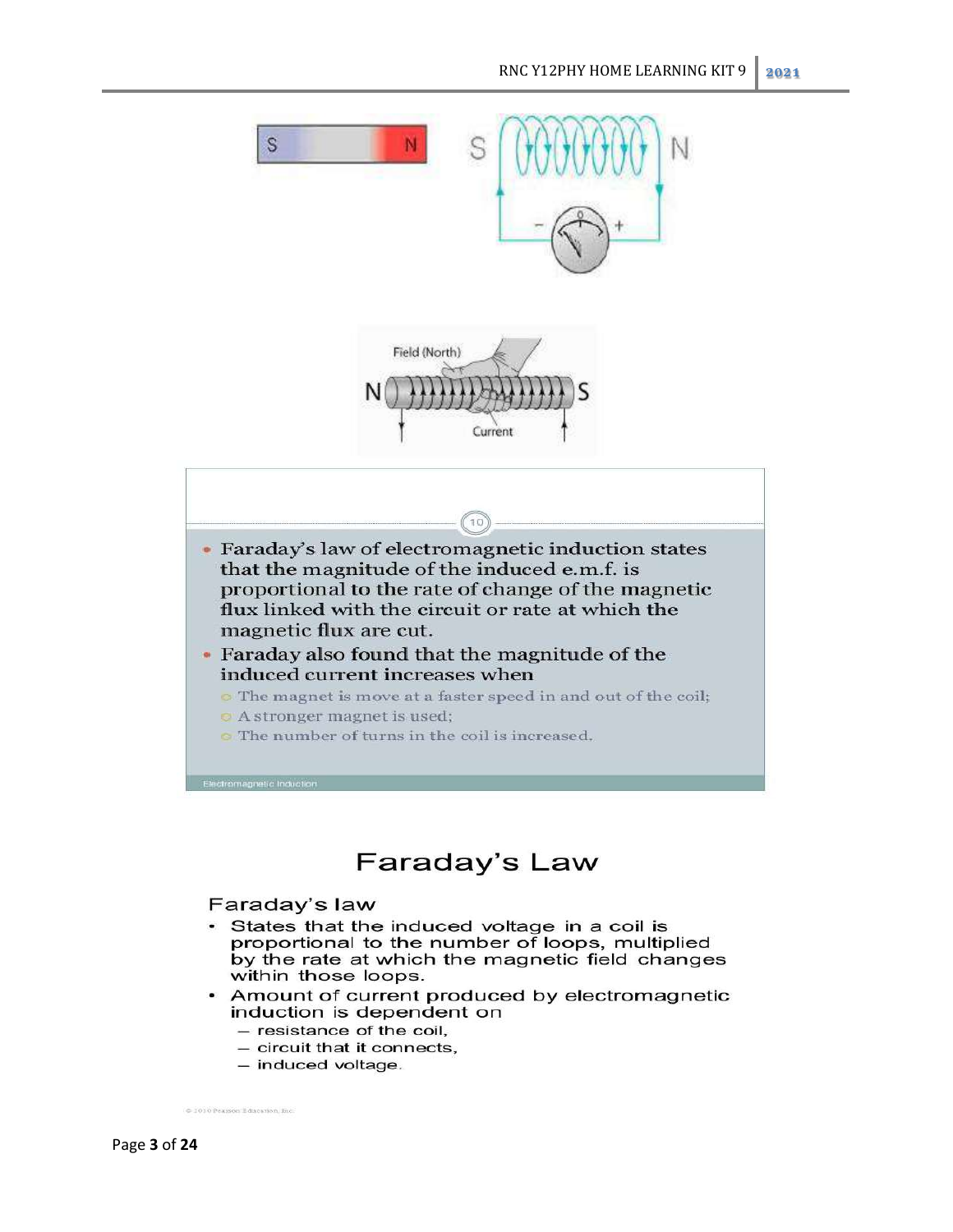



- Faraday's law of electromagnetic induction states that the magnitude of the induced e.m.f. is proportional to the rate of change of the magnetic flux linked with the circuit or rate at which the magnetic flux are cut.
- Faraday also found that the magnitude of the induced current increases when
	- The magnet is move at a faster speed in and out of the coil;
	- **O** A stronger magnet is used;
	- The number of turns in the coil is increased.

# Faraday's Law

### Faraday's law

- · States that the induced voltage in a coil is proportional to the number of loops, multiplied by the rate at which the magnetic field changes within those loops.
- Amount of current produced by electromagnetic induction is dependent on
	- resistance of the coil,
	- circuit that it connects.
	- induced voltage.

C 2010 Pearson Education, Inc.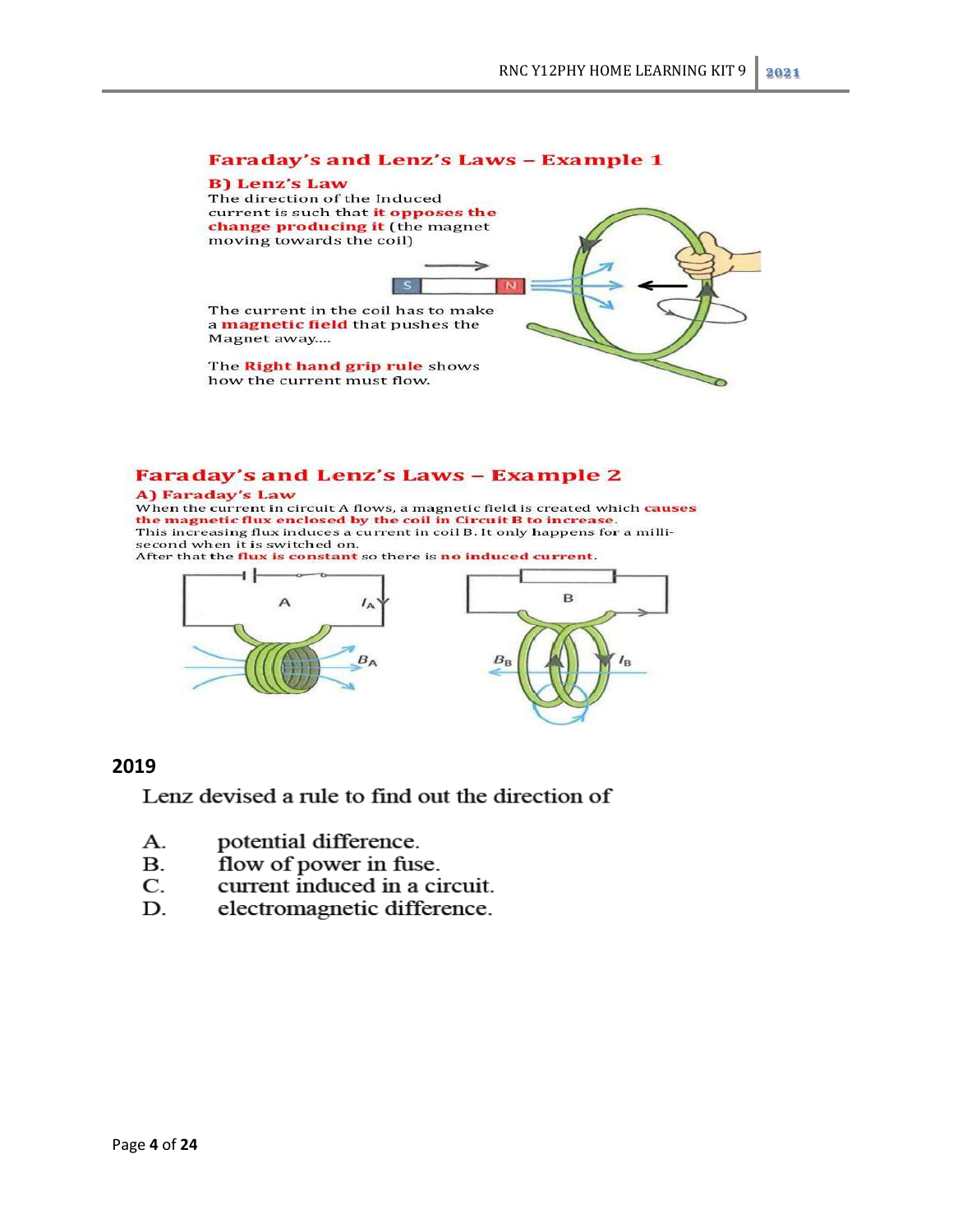#### **Faraday's and Lenz's Laws - Example 1**

#### **B) Lenz's Law** The direction of the Induced current is such that it opposes the

change producing it (the magnet moving towards the coil)

The current in the coil has to make a magnetic field that pushes the Magnet away....

s

The Right hand grip rule shows how the current must flow.

#### **Faraday's and Lenz's Laws - Example 2**

#### A) Faraday's Law

When the current in circuit A flows, a magnetic field is created which causes the magnetic flux enclosed by the coil in Circuit B to increase.<br>This increasing flux induces a current in coil B. It only happens for a millisecond when it is switched on.

After that the flux is constant so there is no induced current.



### **2019**

Lenz devised a rule to find out the direction of

- potential difference.  $\mathbf{A}$ .
- flow of power in fuse. **B.**
- $\mathbf{C}$ . current induced in a circuit.
- electromagnetic difference. D.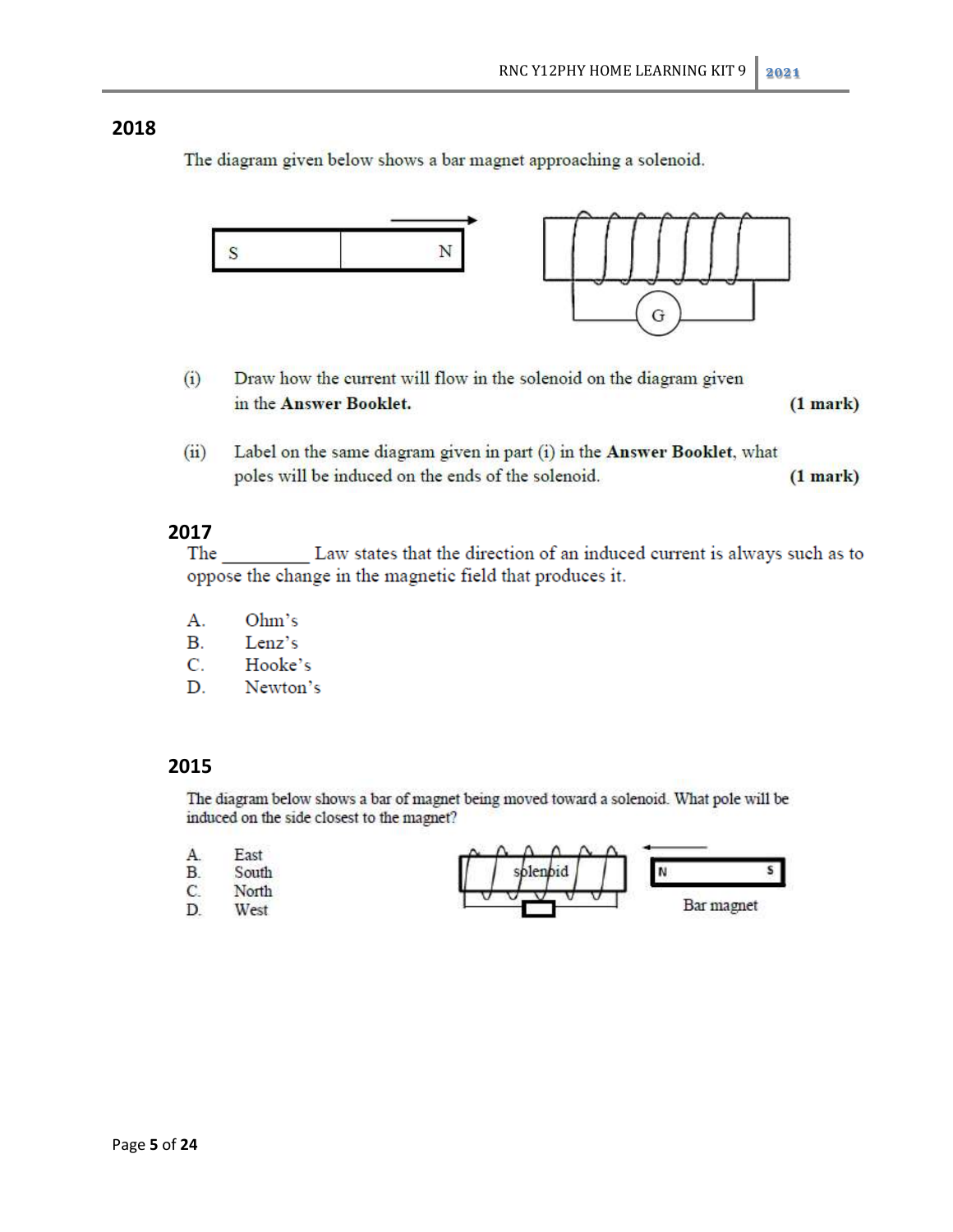The diagram given below shows a bar magnet approaching a solenoid.



- $(i)$ Draw how the current will flow in the solenoid on the diagram given in the Answer Booklet.  $(1 mark)$
- Label on the same diagram given in part (i) in the Answer Booklet, what  $(ii)$ poles will be induced on the ends of the solenoid.  $(1 mark)$

### **2017**

Law states that the direction of an induced current is always such as to The oppose the change in the magnetic field that produces it.

- A. Ohm's
- В. Lenz's
- C. Hooke's
- D. Newton's

### **2015**

The diagram below shows a bar of magnet being moved toward a solenoid. What pole will be induced on the side closest to the magnet?

| A       | East         |        |            |
|---------|--------------|--------|------------|
| В       | South        | $\sim$ |            |
| r<br>ı. | <b>North</b> |        |            |
| D       | West         |        | Bar magnet |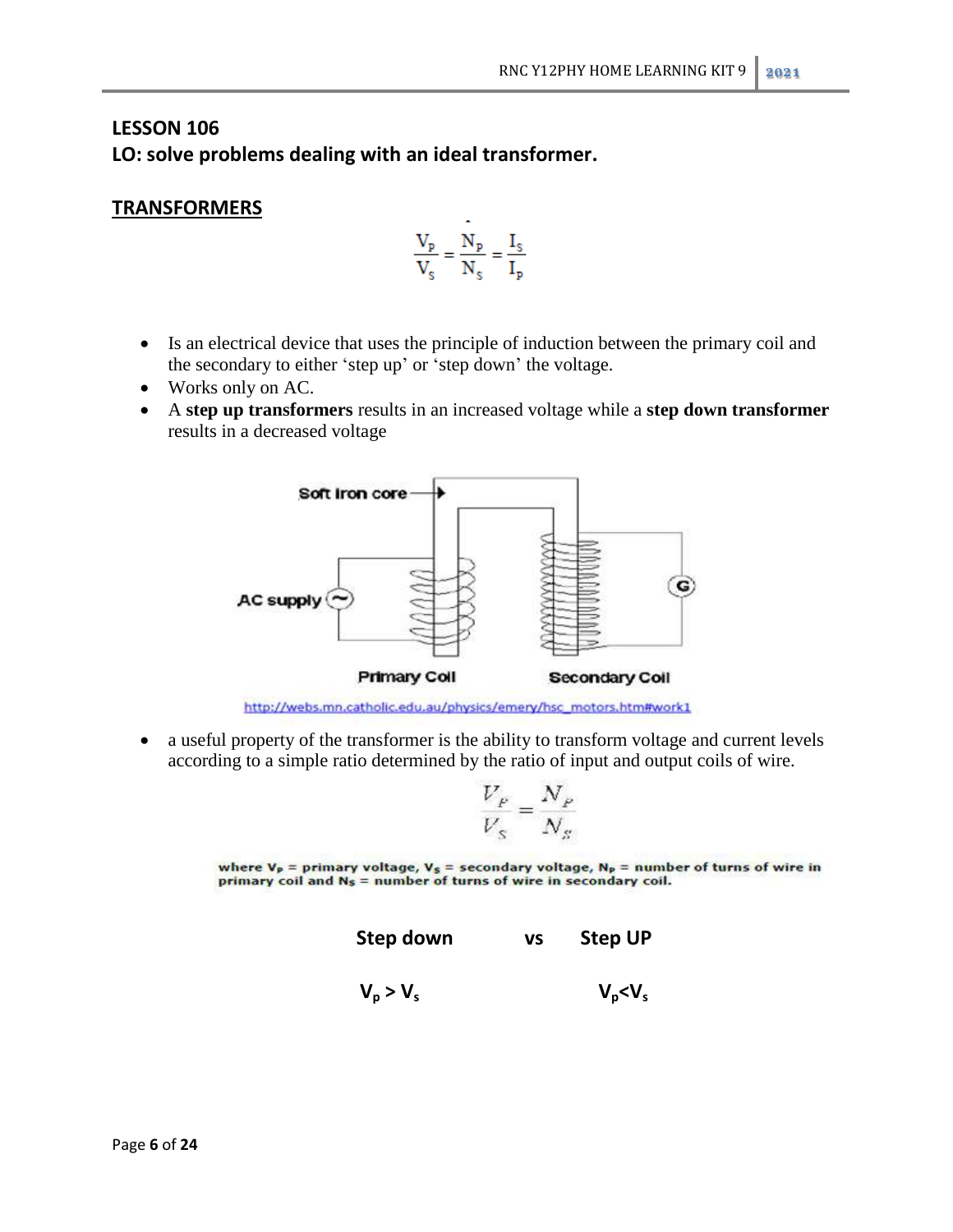# **LESSON 106 LO: solve problems dealing with an ideal transformer.**

# **TRANSFORMERS**

$$
\frac{V_p}{V_s} = \frac{N_p}{N_s} = \frac{I_s}{I_p}
$$

- Is an electrical device that uses the principle of induction between the primary coil and the secondary to either 'step up' or 'step down' the voltage.
- Works only on AC.
- A **step up transformers** results in an increased voltage while a **step down transformer**  results in a decreased voltage



• a useful property of the transformer is the ability to transform voltage and current levels according to a simple ratio determined by the ratio of input and output coils of wire.

$$
\frac{V_P}{V_S} = \frac{N_P}{N_S}
$$

where  $V_P$  = primary voltage,  $V_S$  = secondary voltage,  $N_P$  = number of turns of wire in primary coil and N<sub>S</sub> = number of turns of wire in secondary coil.

**Step down vs Step UP**

 $V_p > V_s$  $V_p$ <sup>< $V_s$ </sup>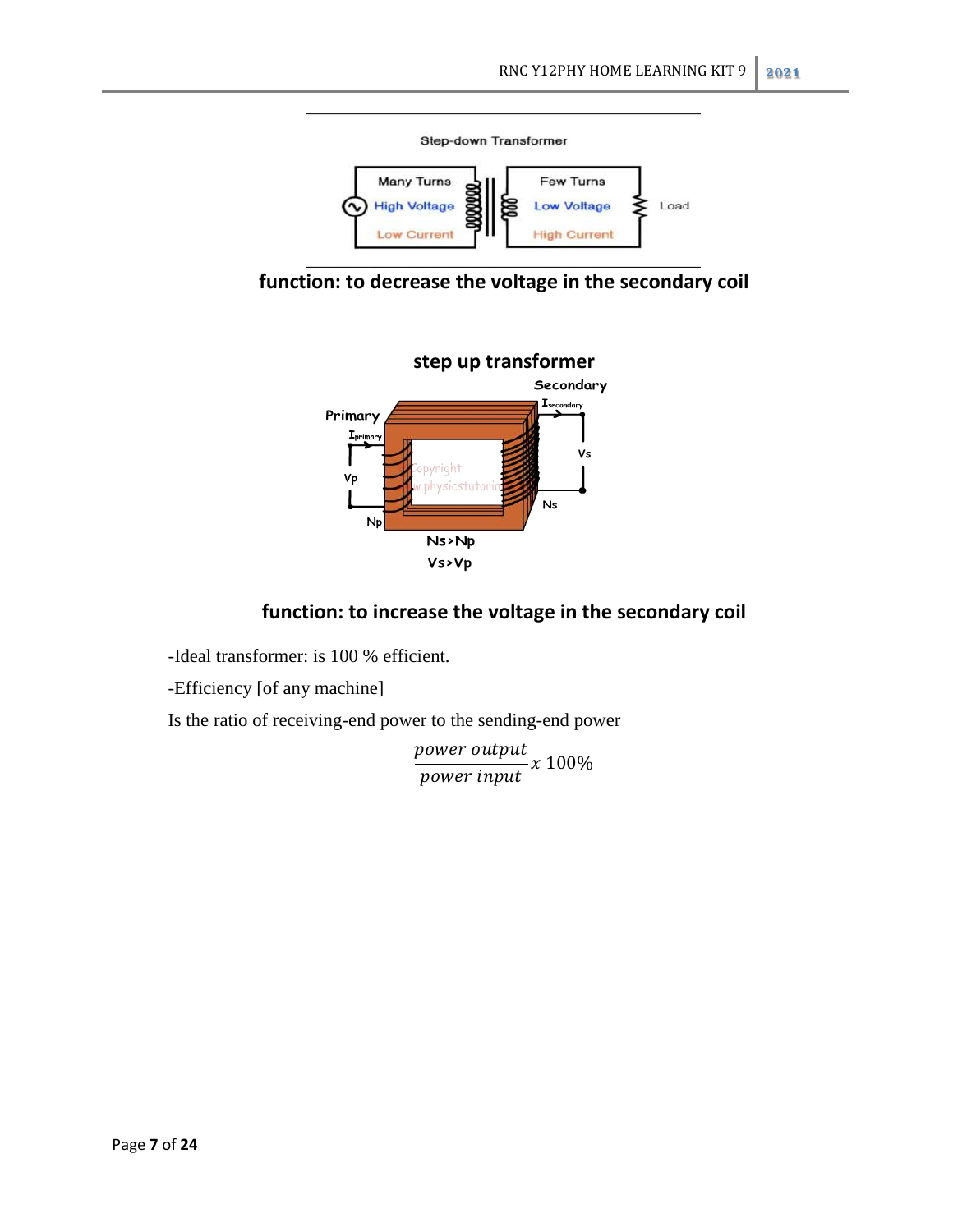





# **function: to increase the voltage in the secondary coil**

-Ideal transformer: is 100 % efficient.

-Efficiency [of any machine]

Is the ratio of receiving-end power to the sending-end power

 $\overline{p}$  $\overline{p}$  $\mathcal{X}$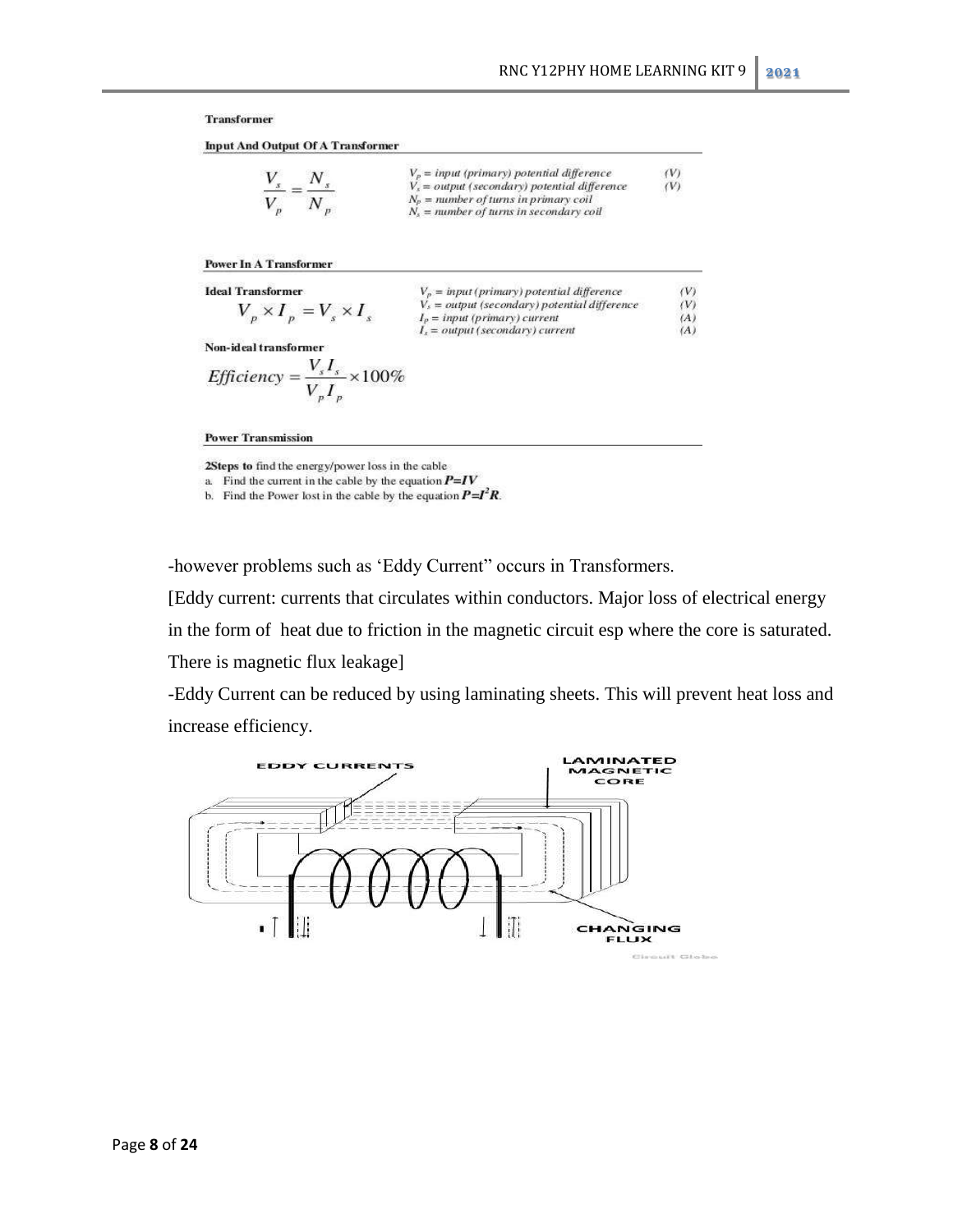#### **Transformer**

**Input And Output Of A Transformer** 

$$
\frac{V_s}{V_p} = \frac{N_s}{N_p}
$$
\n
$$
V_s = output (primary) potential difference
$$
\n
$$
V_s = output (secondary) potential difference
$$
\n
$$
N_s = number of turns in primary coil
$$
\n
$$
N_s = number of turns in secondary coil
$$

#### **Power In A Transformer**

| Ideal Transformer                 | $V_p = input (primary)$ potential difference    | (V) |
|-----------------------------------|-------------------------------------------------|-----|
| $V_p \times I_p = V_s \times I_s$ | $V_s = output (secondary)$ potential difference | (V) |
| Non-ideal transformer             | $I_s = output (secondary)$ current              | (A) |
| Non-ideal transformer             | $V_s I_s \times 100\%$                          | (A) |

**Power Transmission** 

2Steps to find the energy/power loss in the cable

a. Find the current in the cable by the equation  $P=IV$ 

b. Find the Power lost in the cable by the equation  $P = I^2 R$ .

-however problems such as 'Eddy Current" occurs in Transformers.

[Eddy current: currents that circulates within conductors. Major loss of electrical energy

in the form of heat due to friction in the magnetic circuit esp where the core is saturated.

There is magnetic flux leakage]

-Eddy Current can be reduced by using laminating sheets. This will prevent heat loss and increase efficiency.

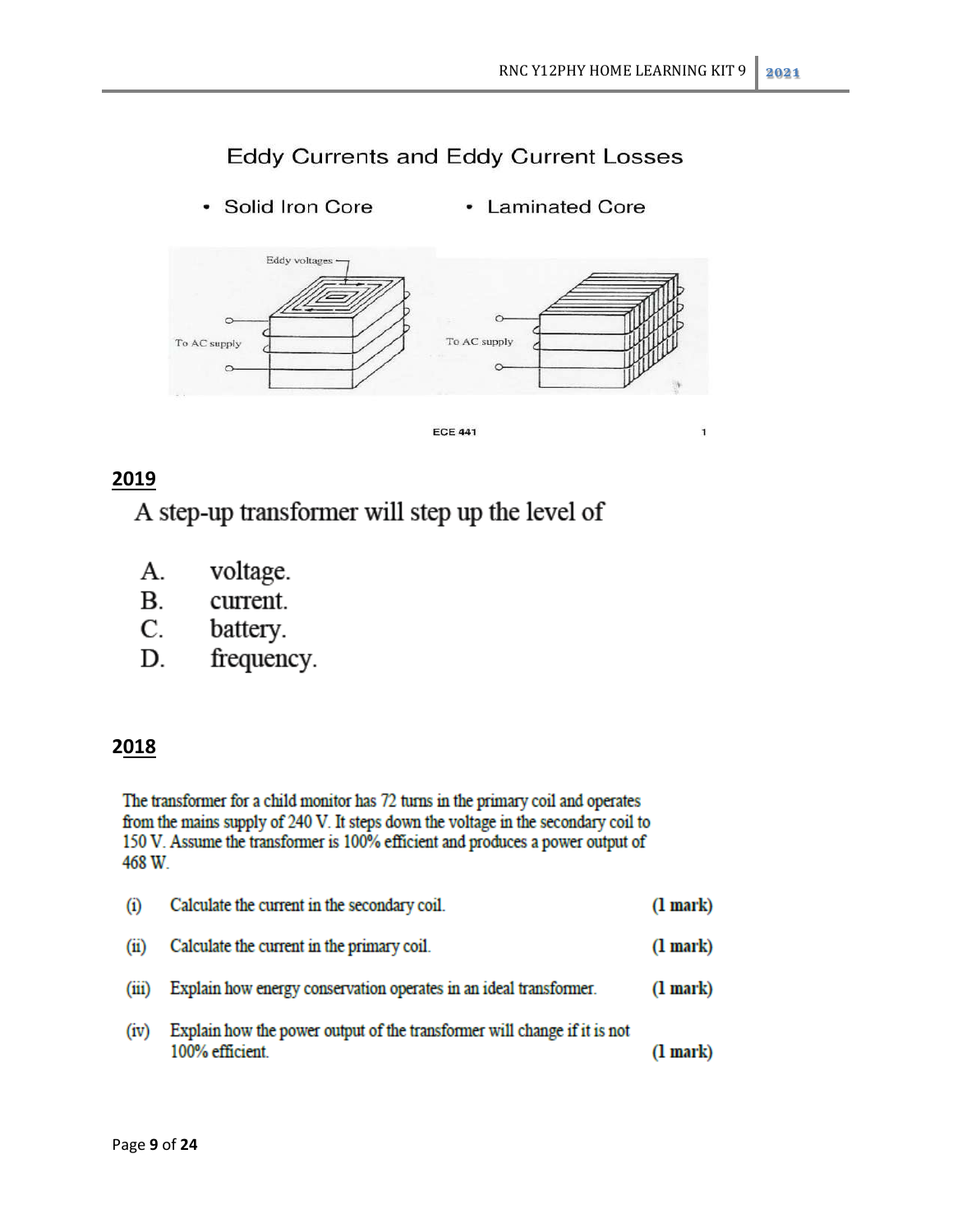$\mathbf{1}$ 

# **Eddy Currents and Eddy Current Losses**

· Solid Iron Core • Laminated Core



**ECE 441** 

# **2019**

A step-up transformer will step up the level of

- voltage. А.
- $\mathbf{B}$ . current.
- $C.$ battery.
- D. frequency.

# **2018**

The transformer for a child monitor has 72 turns in the primary coil and operates from the mains supply of 240 V. It steps down the voltage in the secondary coil to 150 V. Assume the transformer is 100% efficient and produces a power output of 468 W.

| (i)   | Calculate the current in the secondary coil.                                                | $(l$ mark $)$ |
|-------|---------------------------------------------------------------------------------------------|---------------|
| (11)  | Calculate the current in the primary coil.                                                  | $(l$ mark $)$ |
| (111) | Explain how energy conservation operates in an ideal transformer.                           | $(l$ mark $)$ |
| (iv)  | Explain how the power output of the transformer will change if it is not<br>100% efficient. | $(l$ mark $)$ |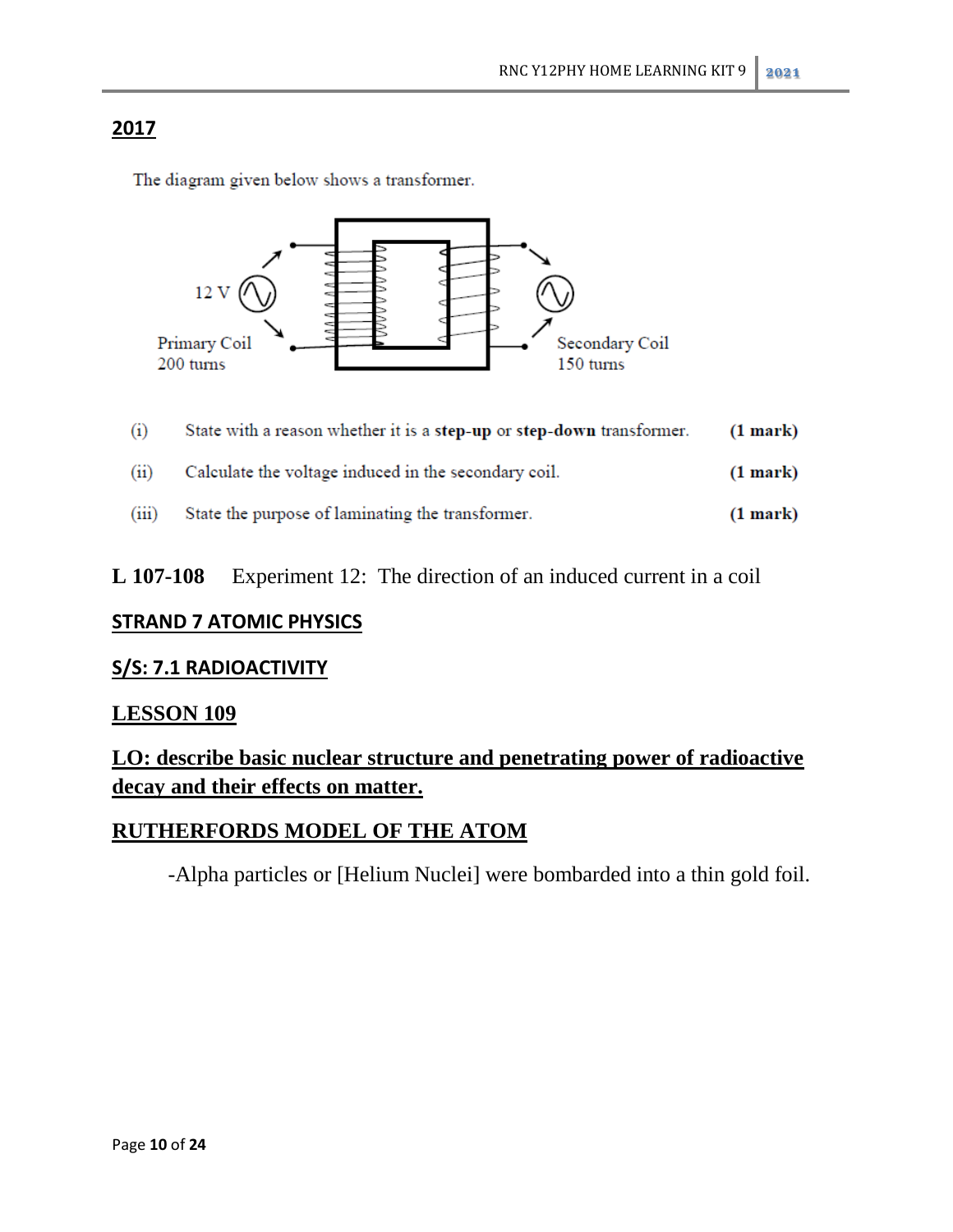The diagram given below shows a transformer.



| (1)   | State with a reason whether it is a step-up or step-down transformer. | (1 mark)      |
|-------|-----------------------------------------------------------------------|---------------|
| (ii)  | Calculate the voltage induced in the secondary coil.                  | $(1$ mark $)$ |
| (iii) | State the purpose of laminating the transformer.                      | $(1$ mark $)$ |

# **L 107-108** Experiment 12: The direction of an induced current in a coil

# **STRAND 7 ATOMIC PHYSICS**

# **S/S: 7.1 RADIOACTIVITY**

# **LESSON 109**

**LO: describe basic nuclear structure and penetrating power of radioactive decay and their effects on matter.** 

# **RUTHERFORDS MODEL OF THE ATOM**

-Alpha particles or [Helium Nuclei] were bombarded into a thin gold foil.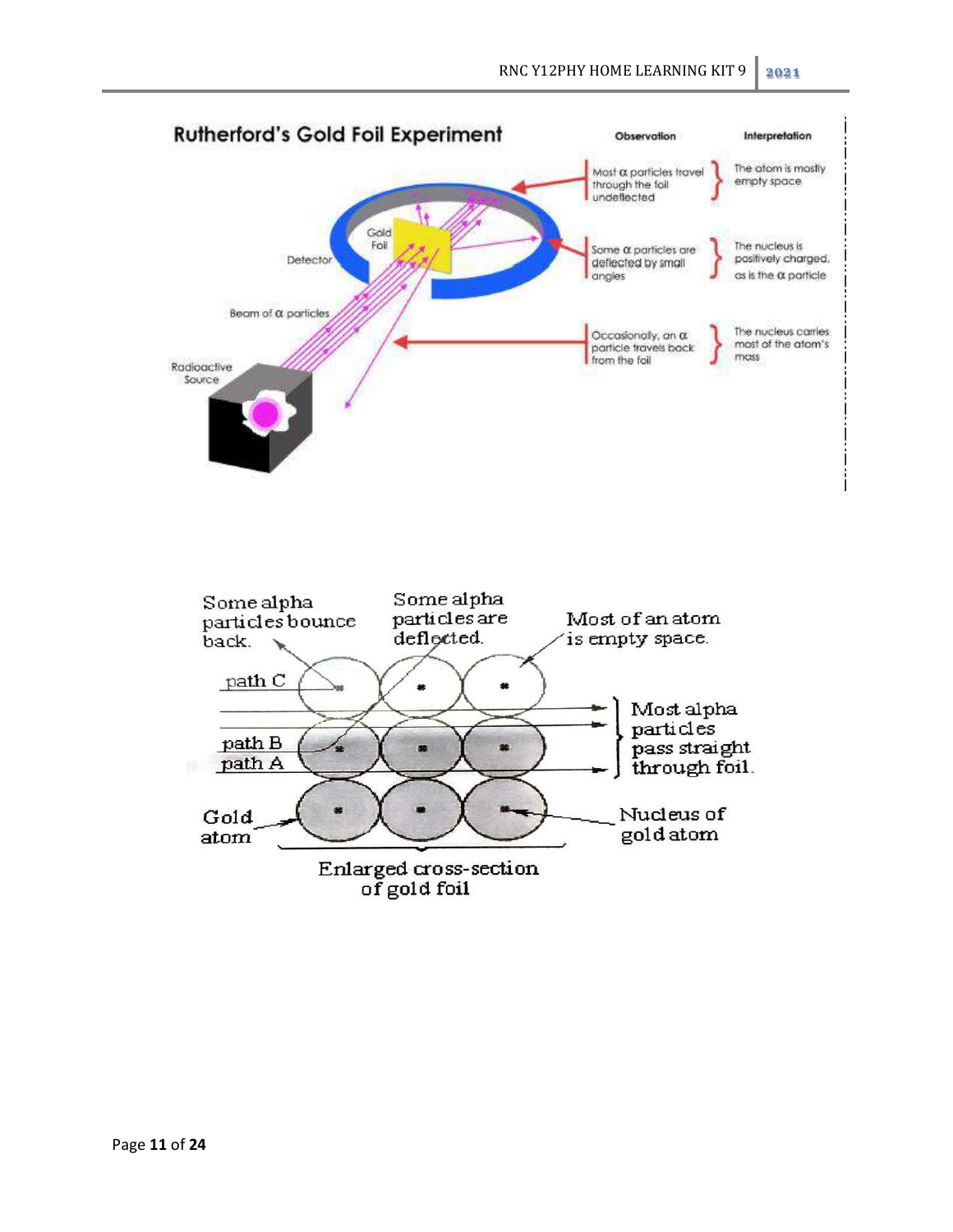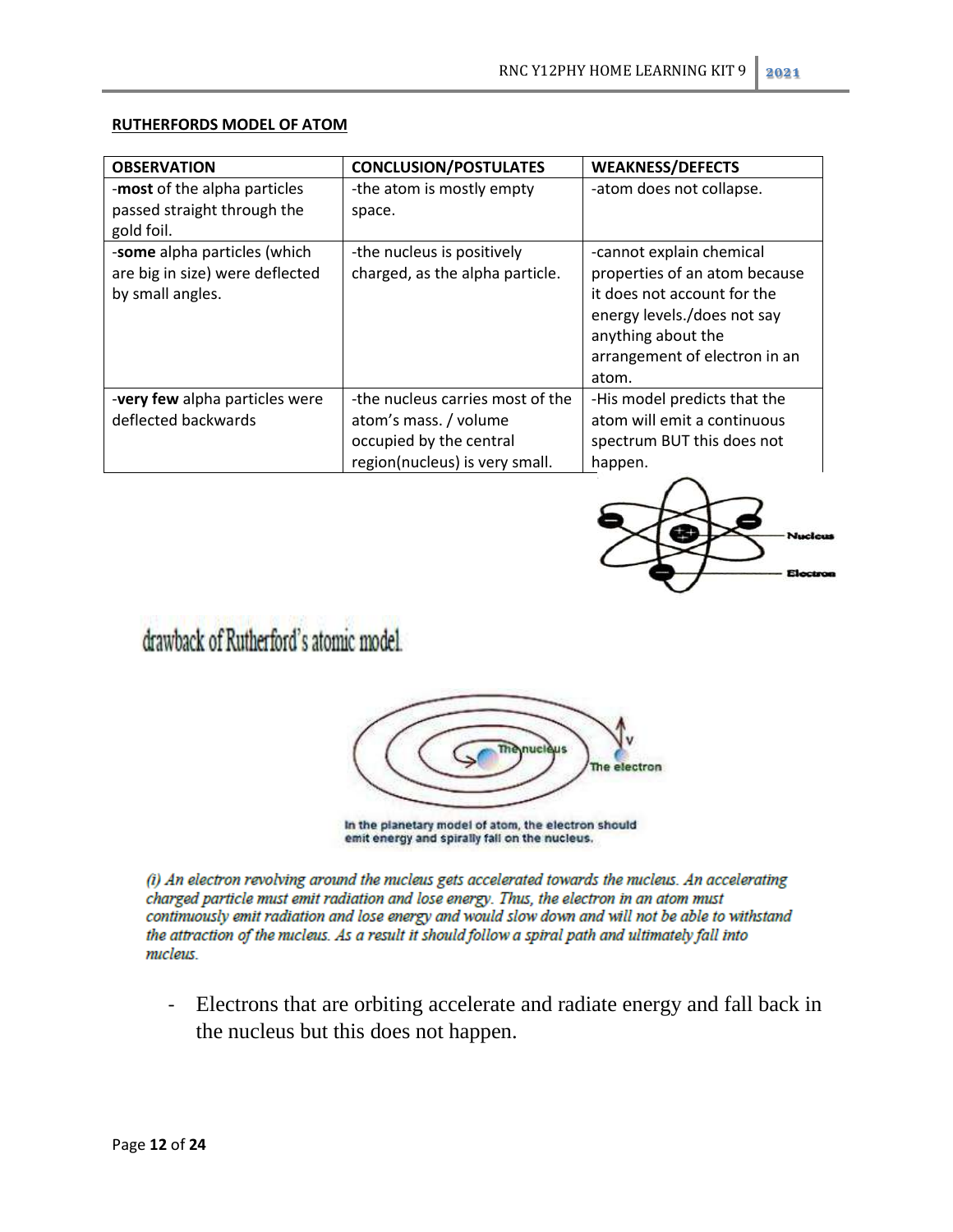| <b>OBSERVATION</b>                                                                  | <b>CONCLUSION/POSTULATES</b>                                                                                           | <b>WEAKNESS/DEFECTS</b>                                                                                                                                                                 |
|-------------------------------------------------------------------------------------|------------------------------------------------------------------------------------------------------------------------|-----------------------------------------------------------------------------------------------------------------------------------------------------------------------------------------|
| -most of the alpha particles<br>passed straight through the<br>gold foil.           | -the atom is mostly empty<br>space.                                                                                    | -atom does not collapse.                                                                                                                                                                |
| -some alpha particles (which<br>are big in size) were deflected<br>by small angles. | -the nucleus is positively<br>charged, as the alpha particle.                                                          | -cannot explain chemical<br>properties of an atom because<br>it does not account for the<br>energy levels./does not say<br>anything about the<br>arrangement of electron in an<br>atom. |
| <b>-very few</b> alpha particles were<br>deflected backwards                        | -the nucleus carries most of the<br>atom's mass. / volume<br>occupied by the central<br>region(nucleus) is very small. | -His model predicts that the<br>atom will emit a continuous<br>spectrum BUT this does not<br>happen.                                                                                    |

#### **RUTHERFORDS MODEL OF ATOM**



# drawback of Rutherford's atomic model.



In the planetary model of atom, the electron should emit energy and spirally fall on the nucleus.

(i) An electron revolving around the mucleus gets accelerated towards the mucleus. An accelerating charged particle must emit radiation and lose energy. Thus, the electron in an atom must continuously emit radiation and lose energy and would slow down and will not be able to withstand the attraction of the micleus. As a result it should follow a spiral path and ultimately fall into micleus

- Electrons that are orbiting accelerate and radiate energy and fall back in the nucleus but this does not happen.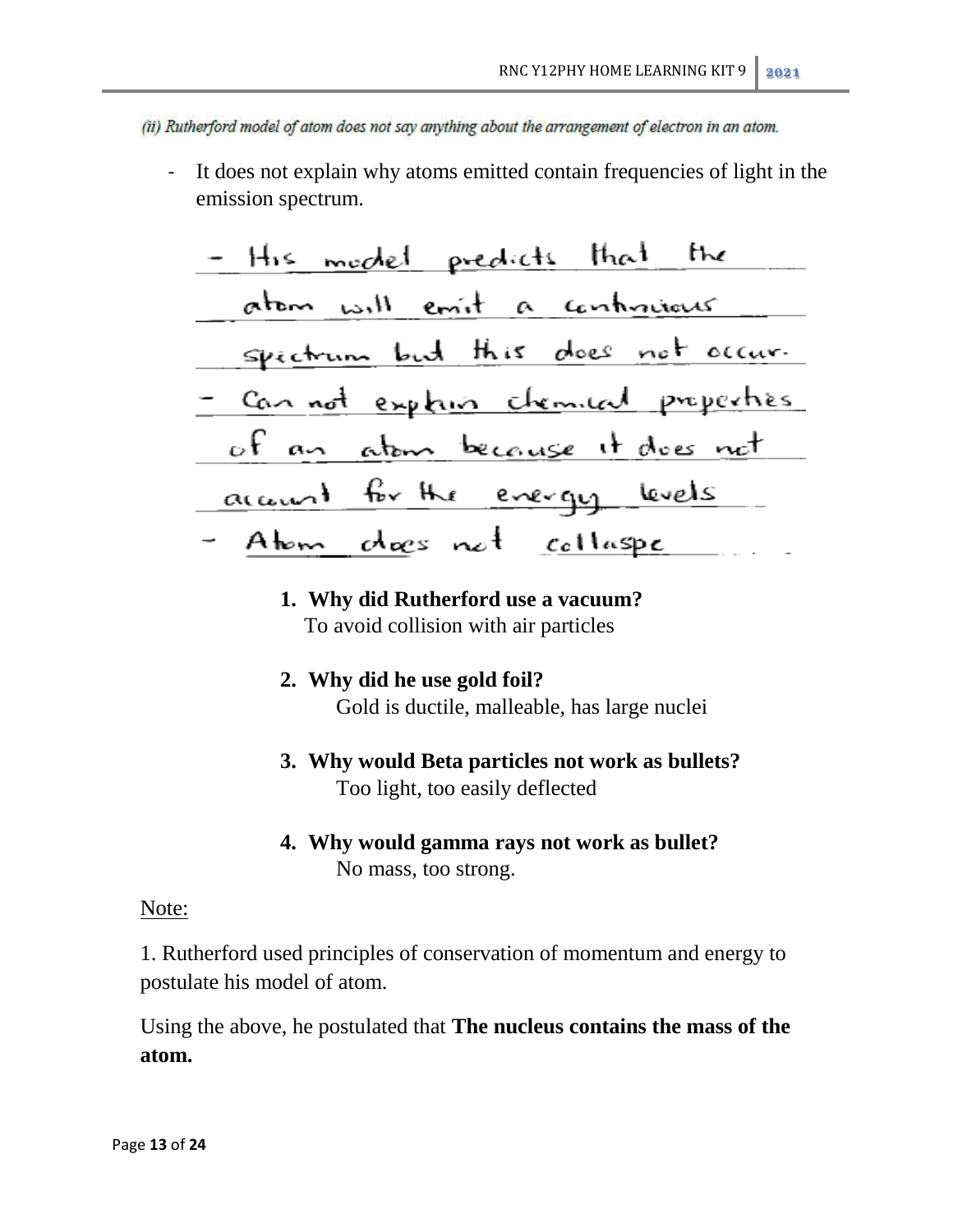- (ii) Rutherford model of atom does not say anything about the arrangement of electron in an atom.
	- It does not explain why atoms emitted contain frequencies of light in the emission spectrum.

# **1. Why did Rutherford use a vacuum?** To avoid collision with air particles

- **2. Why did he use gold foil?** Gold is ductile, malleable, has large nuclei
- **3. Why would Beta particles not work as bullets?** Too light, too easily deflected
- **4. Why would gamma rays not work as bullet?** No mass, too strong.

### Note:

1. Rutherford used principles of conservation of momentum and energy to postulate his model of atom.

Using the above, he postulated that **The nucleus contains the mass of the atom.**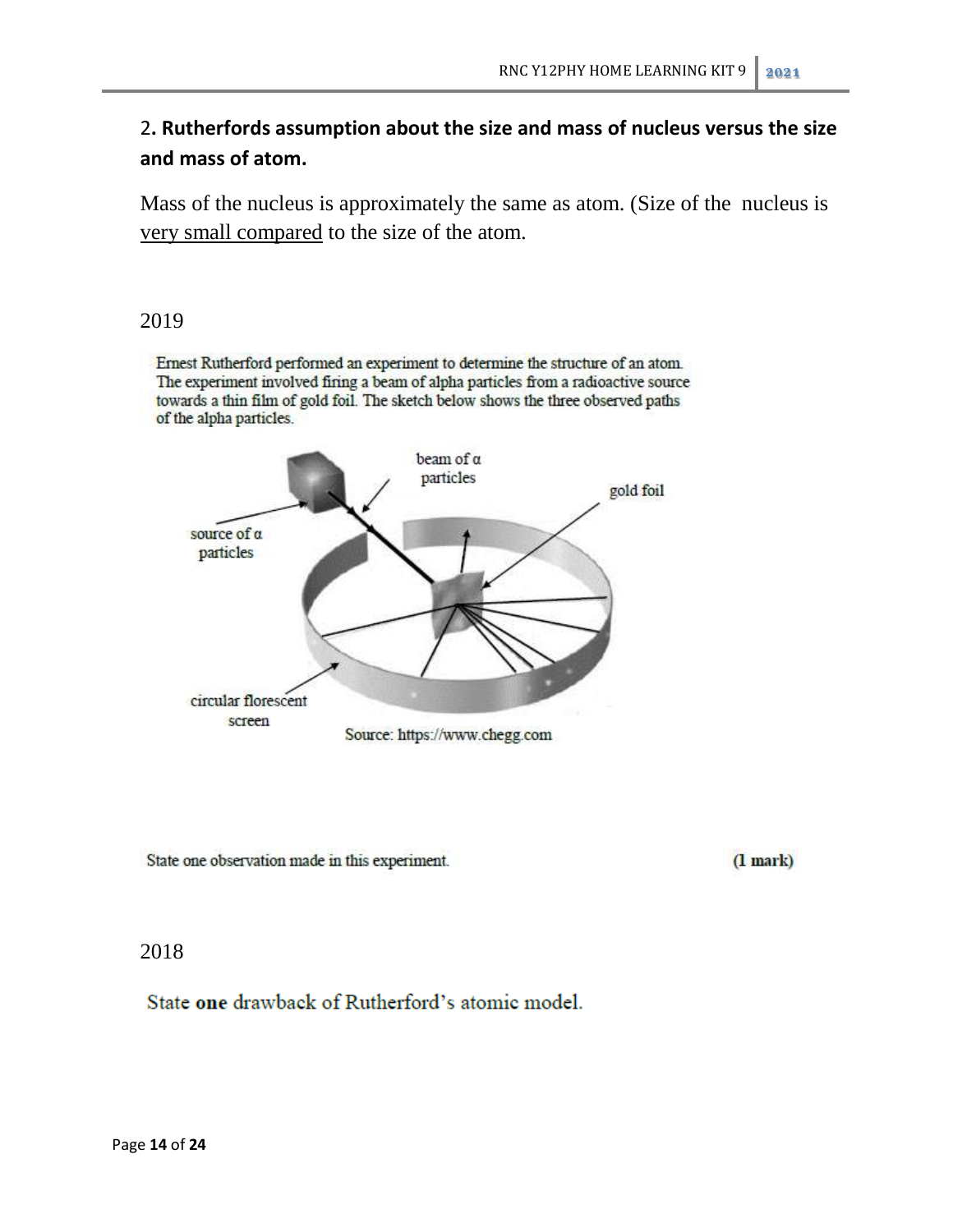# 2**. Rutherfords assumption about the size and mass of nucleus versus the size and mass of atom.**

Mass of the nucleus is approximately the same as atom. (Size of the nucleus is very small compared to the size of the atom.

# 2019

Ernest Rutherford performed an experiment to determine the structure of an atom. The experiment involved firing a beam of alpha particles from a radioactive source towards a thin film of gold foil. The sketch below shows the three observed paths of the alpha particles.



State one observation made in this experiment.

 $(1 mark)$ 

# 2018

State one drawback of Rutherford's atomic model.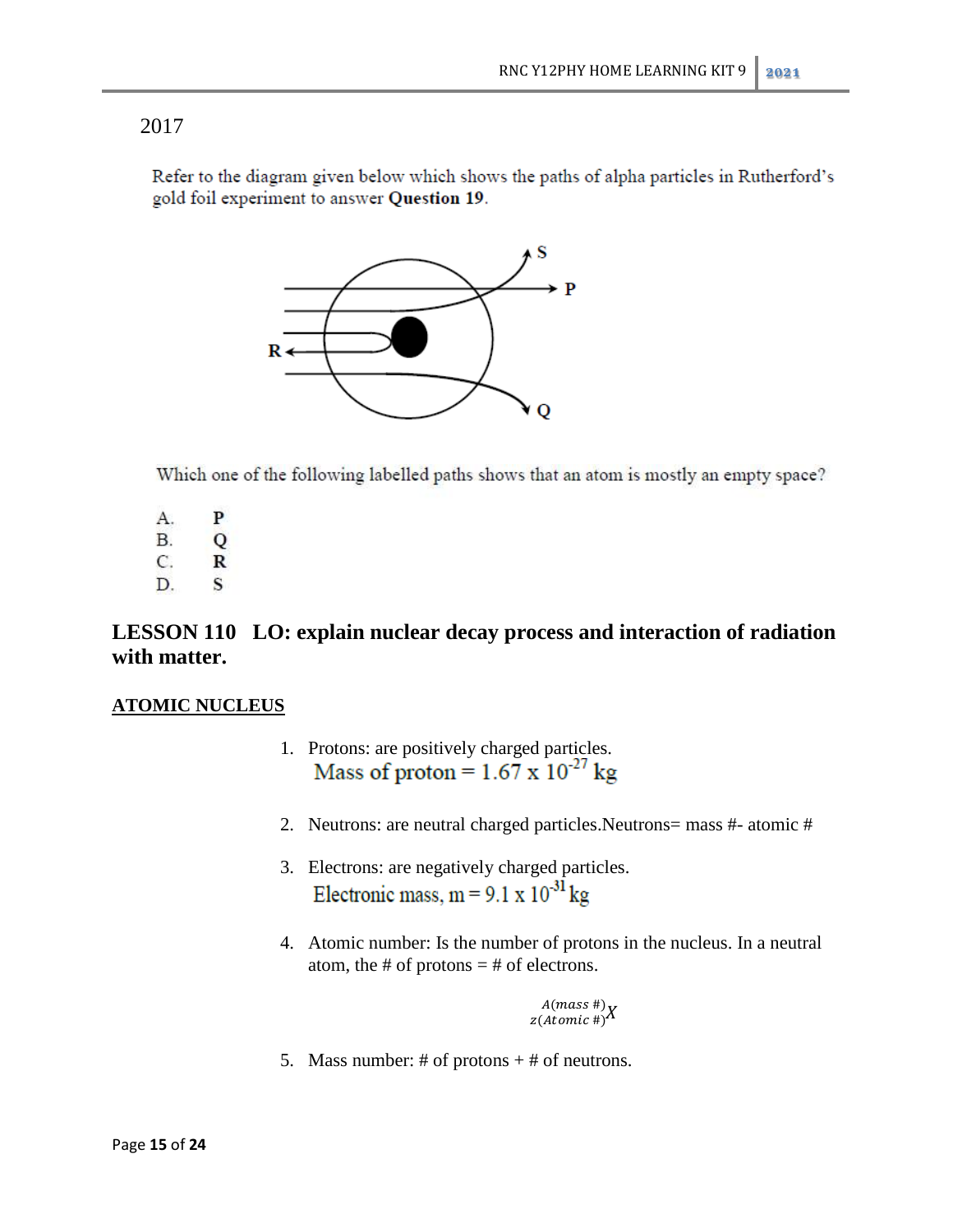Refer to the diagram given below which shows the paths of alpha particles in Rutherford's gold foil experiment to answer Question 19.



Which one of the following labelled paths shows that an atom is mostly an empty space?

- A. P
- $B.$  $\overline{Q}$
- C. R
- D.  $\mathbf{s}$

# **LESSON 110 LO: explain nuclear decay process and interaction of radiation with matter.**

### **ATOMIC NUCLEUS**

- 1. Protons: are positively charged particles.<br>Mass of proton =  $1.67 \times 10^{-27}$  kg
- 2. Neutrons: are neutral charged particles.Neutrons= mass #- atomic #
- 3. Electrons: are negatively charged particles. Electronic mass,  $m = 9.1 \times 10^{-31}$  kg
- 4. Atomic number: Is the number of protons in the nucleus. In a neutral atom, the # of protons  $=$  # of electrons.

Z  $\overline{A}$ 

5. Mass number: # of protons  $+$  # of neutrons.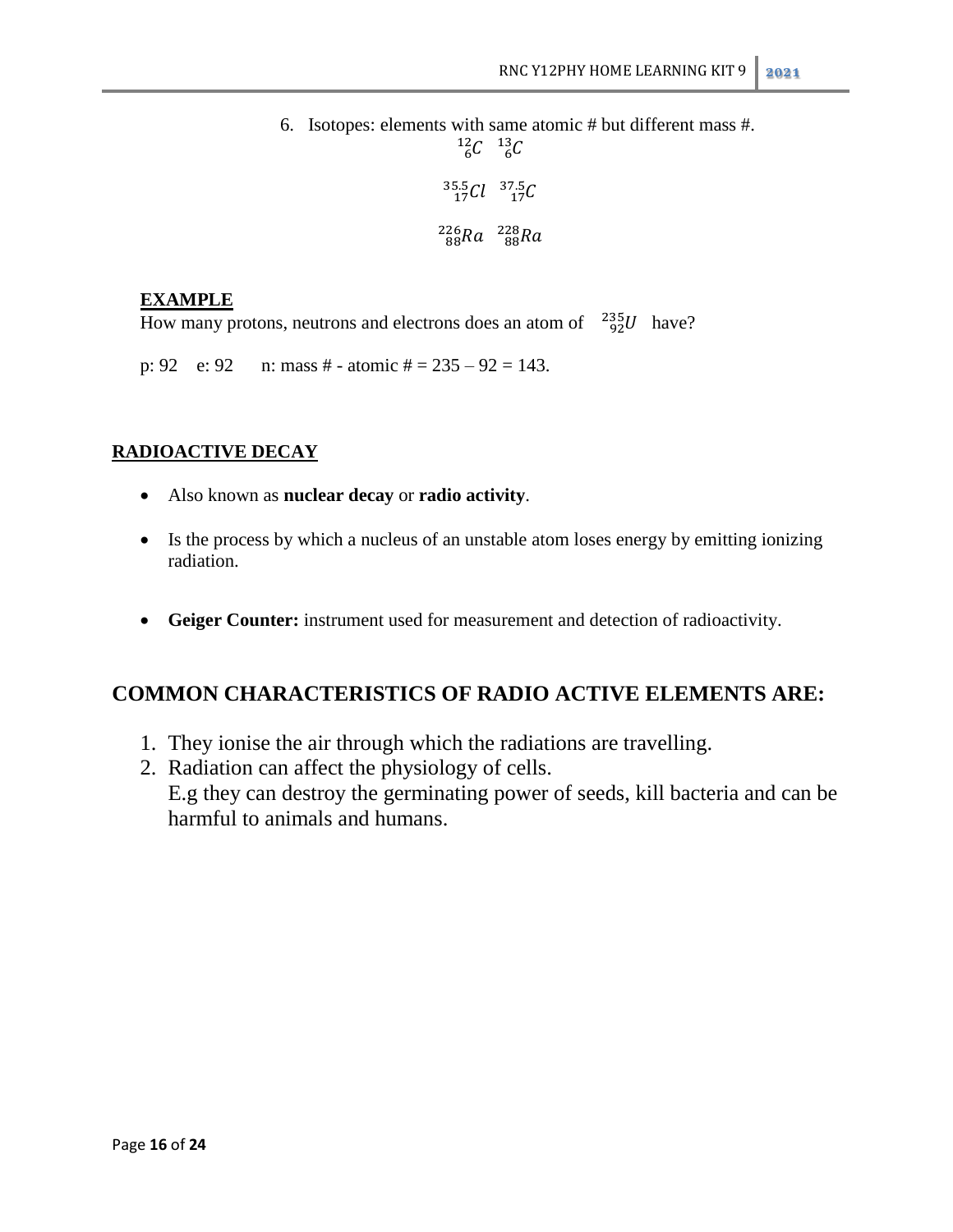6. Isotopes: elements with same atomic # but different mass #.  $^{12}_{6}C$   $^{13}_{6}$  $\frac{35.5}{17}Cl$  37. 88nu 8

### **EXAMPLE**

How many protons, neutrons and electrons does an atom of  $^{235}_{92}U$  have?

p: 92 e: 92 n: mass # - atomic # =  $235 - 92 = 143$ .

### **RADIOACTIVE DECAY**

- Also known as **nuclear decay** or **radio activity**.
- Is the process by which a nucleus of an unstable atom loses energy by emitting ionizing radiation.
- **Geiger Counter:** instrument used for measurement and detection of radioactivity.

# **COMMON CHARACTERISTICS OF RADIO ACTIVE ELEMENTS ARE:**

- 1. They ionise the air through which the radiations are travelling.
- 2. Radiation can affect the physiology of cells. E.g they can destroy the germinating power of seeds, kill bacteria and can be harmful to animals and humans.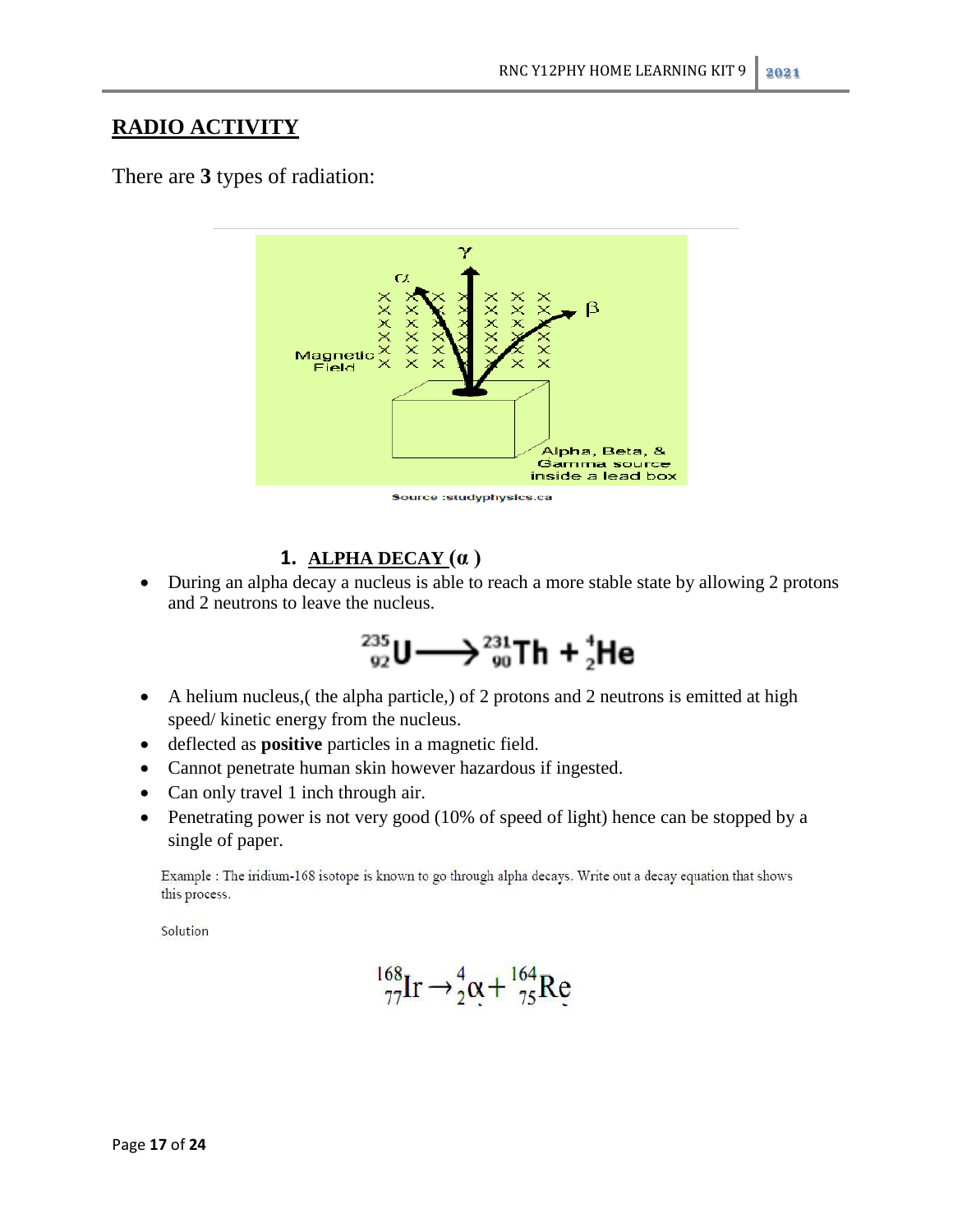# **RADIO ACTIVITY**

There are **3** types of radiation:



### Source : studyphysics.ca

# **1. ALPHA DECAY (α )**

• During an alpha decay a nucleus is able to reach a more stable state by allowing 2 protons and 2 neutrons to leave the nucleus.

$$
^{235}_{92}U \longrightarrow ^{231}_{90}Th + ^{4}_{2}He
$$

- A helium nucleus,( the alpha particle,) of 2 protons and 2 neutrons is emitted at high speed/ kinetic energy from the nucleus.
- deflected as **positive** particles in a magnetic field.
- Cannot penetrate human skin however hazardous if ingested.
- Can only travel 1 inch through air.
- Penetrating power is not very good (10% of speed of light) hence can be stopped by a single of paper.

Example : The iridium-168 isotope is known to go through alpha decays. Write out a decay equation that shows this process.

Solution

$$
^{168}_{77}\text{Ir} \rightarrow ^{4}_{2}\text{\alpha} + ^{164}_{75}\text{Re}
$$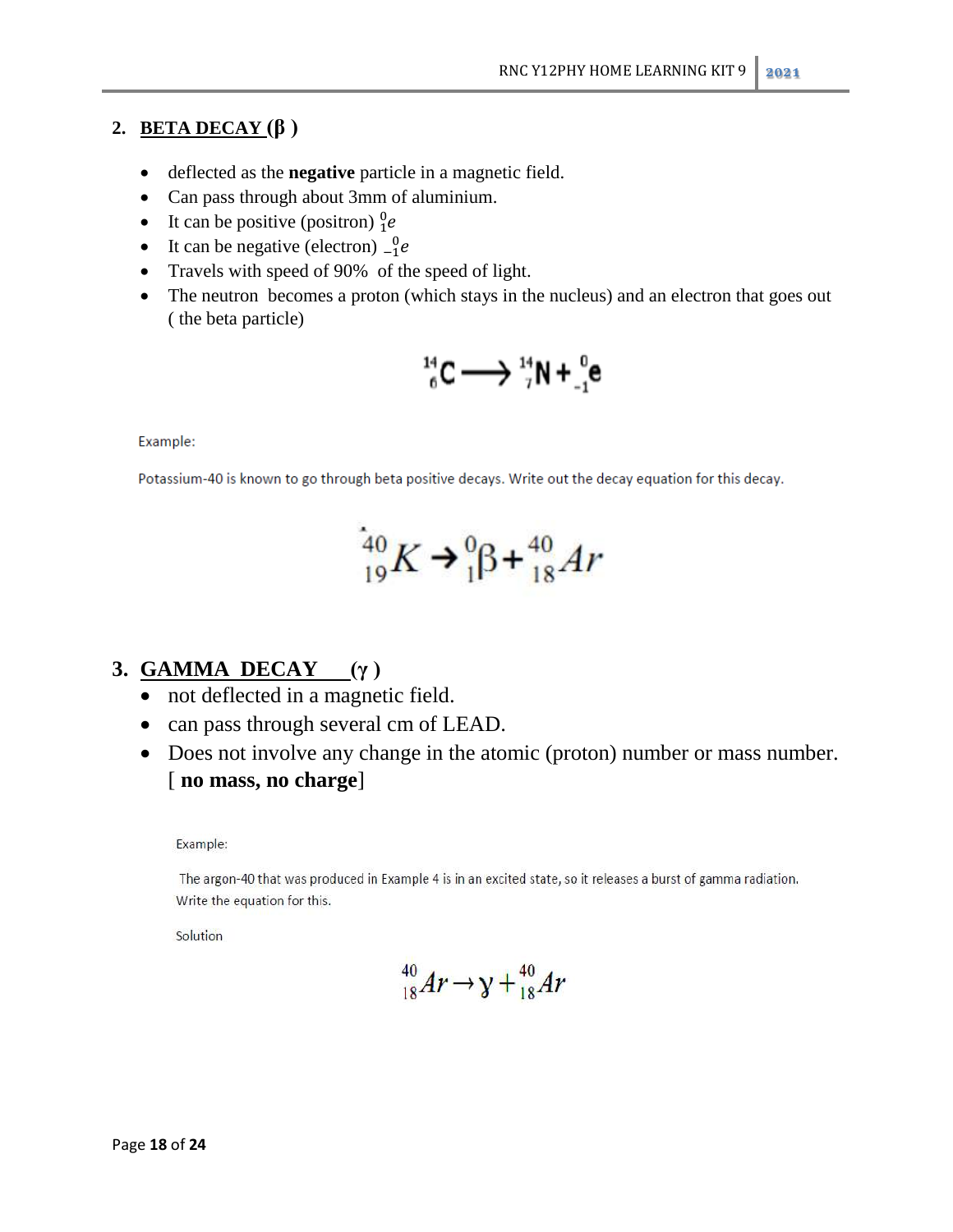# **2. BETA DECAY (β )**

- deflected as the **negative** particle in a magnetic field.
- Can pass through about 3mm of aluminium.
- It can be positive (positron)  $\frac{0}{1}$
- It can be negative (electron)  $\frac{0}{11}$
- Travels with speed of 90% of the speed of light.
- The neutron becomes a proton (which stays in the nucleus) and an electron that goes out ( the beta particle)

$$
{}^{14}_{6}C \longrightarrow {}^{14}_{7}N + {}^{0}_{-1}e
$$

Example:

Potassium-40 is known to go through beta positive decays. Write out the decay equation for this decay.

$$
{}_{19}^{40}K \rightarrow {}_{1}^{0}\beta + {}_{18}^{40}Ar
$$

# **3. GAMMA DECAY (γ )**

- not deflected in a magnetic field.
- can pass through several cm of LEAD.
- Does not involve any change in the atomic (proton) number or mass number. [ **no mass, no charge**]

Example:

The argon-40 that was produced in Example 4 is in an excited state, so it releases a burst of gamma radiation. Write the equation for this.

Solution

$$
^{40}_{18}Ar \rightarrow \gamma + ^{40}_{18}Ar
$$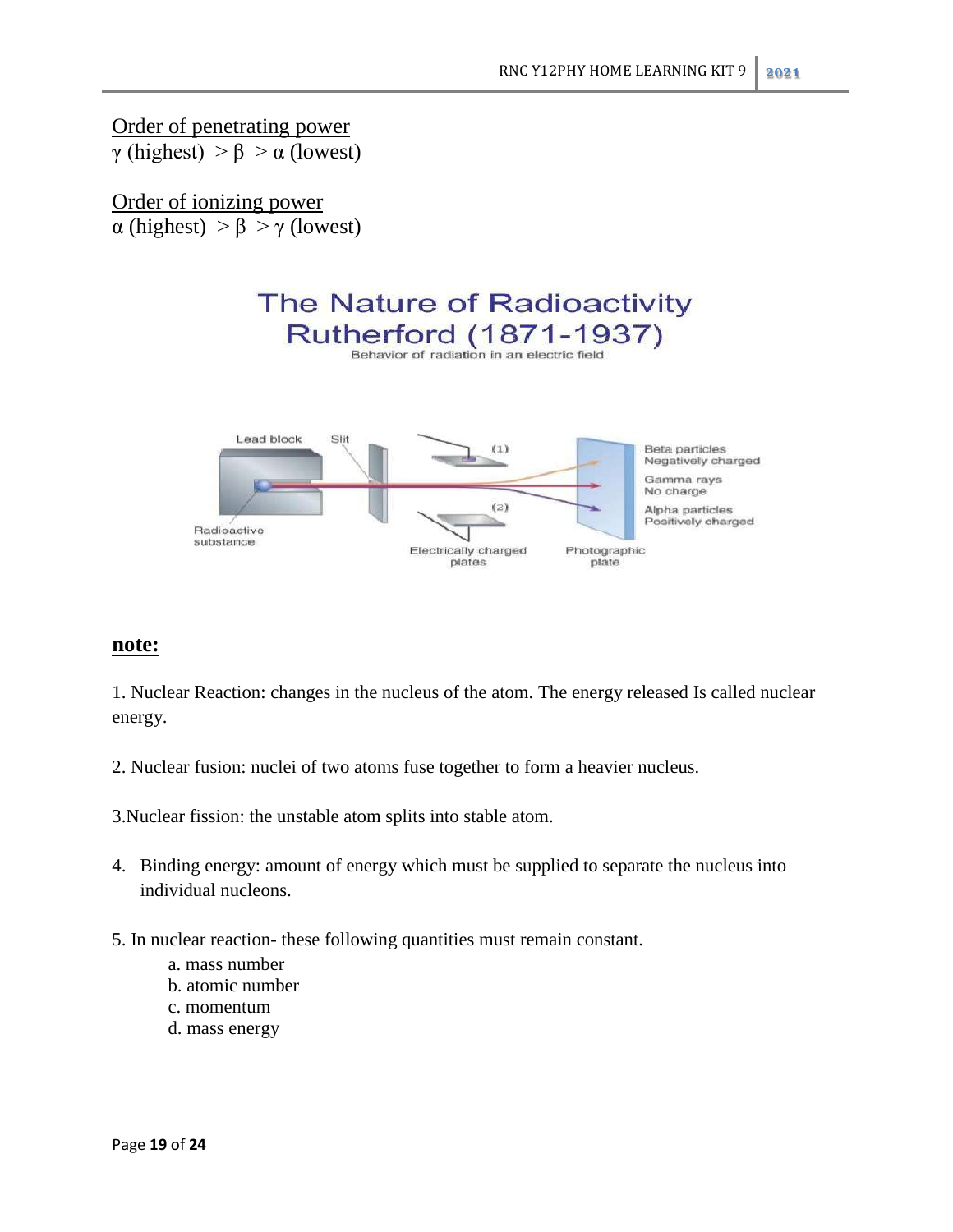Order of penetrating power γ (highest) > β > α (lowest)

Order of ionizing power α (highest) > β > γ (lowest)



### **note:**

1. Nuclear Reaction: changes in the nucleus of the atom. The energy released Is called nuclear energy.

2. Nuclear fusion: nuclei of two atoms fuse together to form a heavier nucleus.

3.Nuclear fission: the unstable atom splits into stable atom.

- 4. Binding energy: amount of energy which must be supplied to separate the nucleus into individual nucleons.
- 5. In nuclear reaction- these following quantities must remain constant.
	- a. mass number
	- b. atomic number
	- c. momentum
	- d. mass energy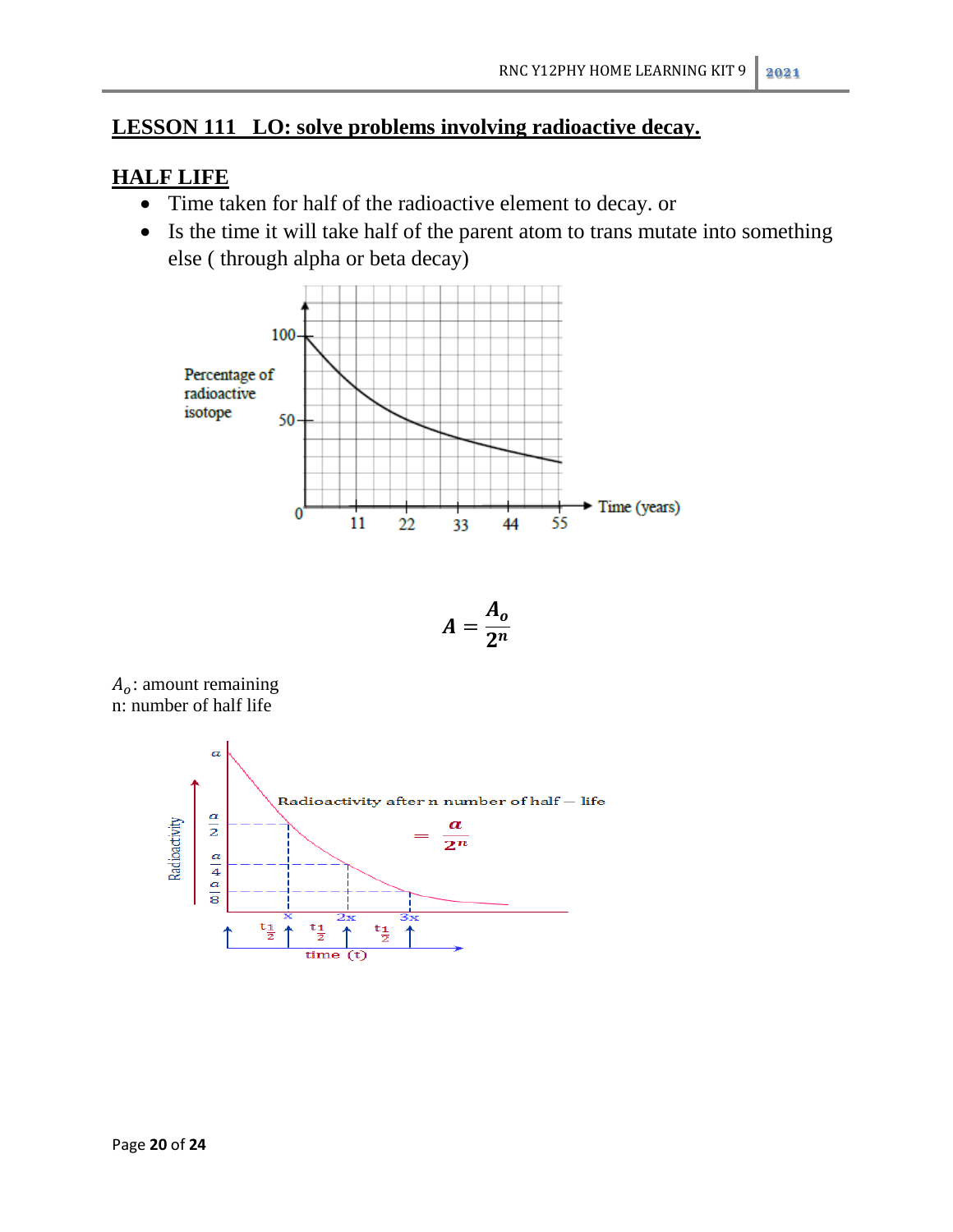# **LESSON 111 LO: solve problems involving radioactive decay.**

# **HALF LIFE**

- Time taken for half of the radioactive element to decay. or
- Is the time it will take half of the parent atom to trans mutate into something else ( through alpha or beta decay)



$$
A=\frac{A_o}{2^n}
$$

 $A<sub>o</sub>$ : amount remaining n: number of half life

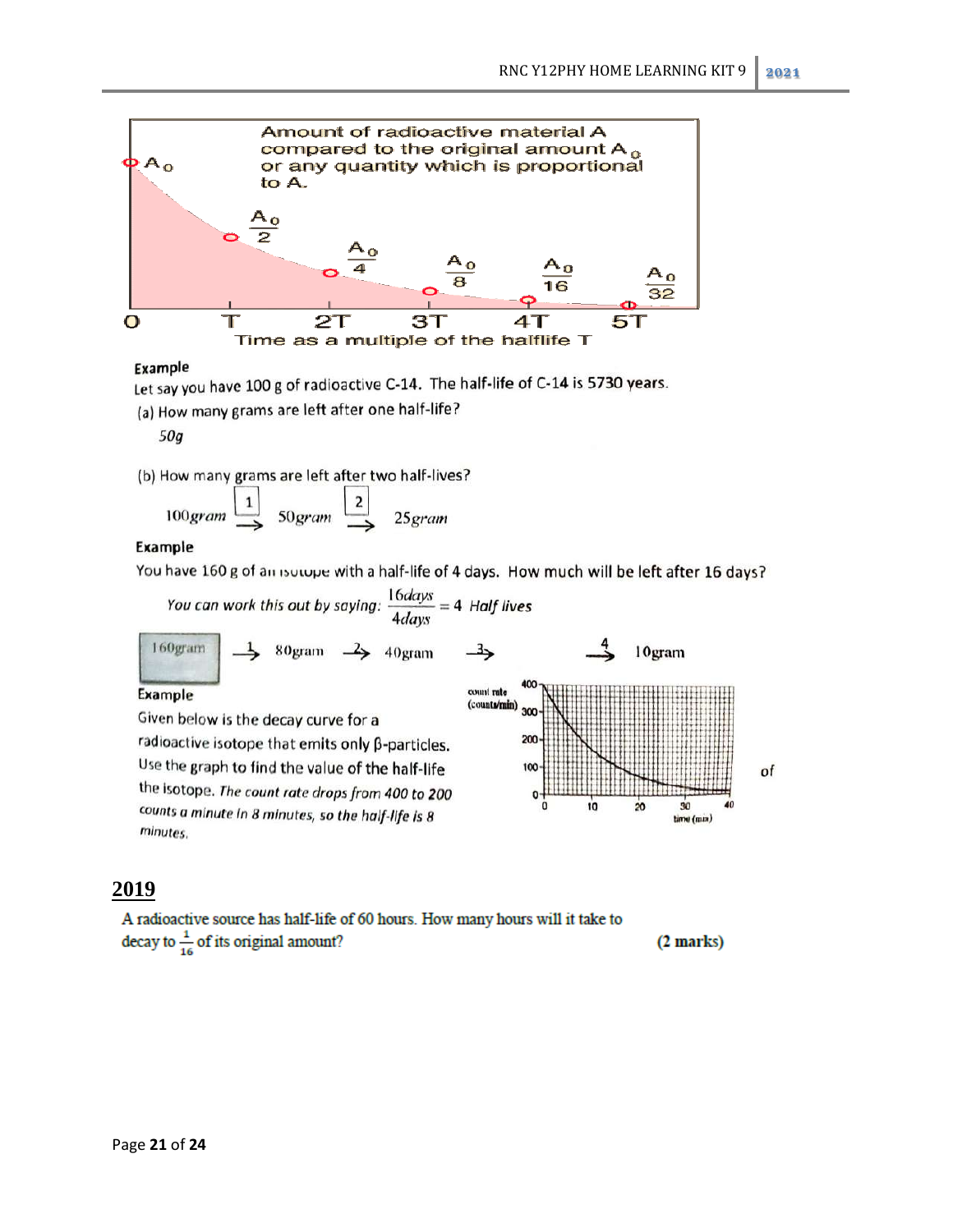

#### Example

Let say you have 100 g of radioactive C-14. The half-life of C-14 is 5730 years.

(a) How many grams are left after one half-life?

50g

(b) How many grams are left after two half-lives?

$$
100
$$
gram  $\xrightarrow{1}$   $50$ gram  $\xrightarrow{2}$   $25$ gram

#### Example

Ex

You have 160 g of an isotope with a half-life of 4 days. How much will be left after 16 days?

You can work this out by saying: 
$$
\frac{16 days}{4 days} = 4
$$
 Half lives  
\n $\frac{160 grams}{4 days} = 4$  Half lives  
\n $\frac{160gram}{4 days} = 4$  Half lives  
\n $\frac{160gram}{400}$   
\n $\frac{160gram}{400}$   
\nGiven below is the decay curve for a  
\nradioactive isotope that emits only  $\beta$ -particles.  
\nUse the graph to find the value of the half-life  
\nthe isotope. The count rate drops from 400 to 200  
\ncounts a minute in 8 minutes, so the half-life is 8

# **2019**

minutes.

A radioactive source has half-life of 60 hours. How many hours will it take to decay to  $\frac{1}{16}$  of its original amount? (2 marks)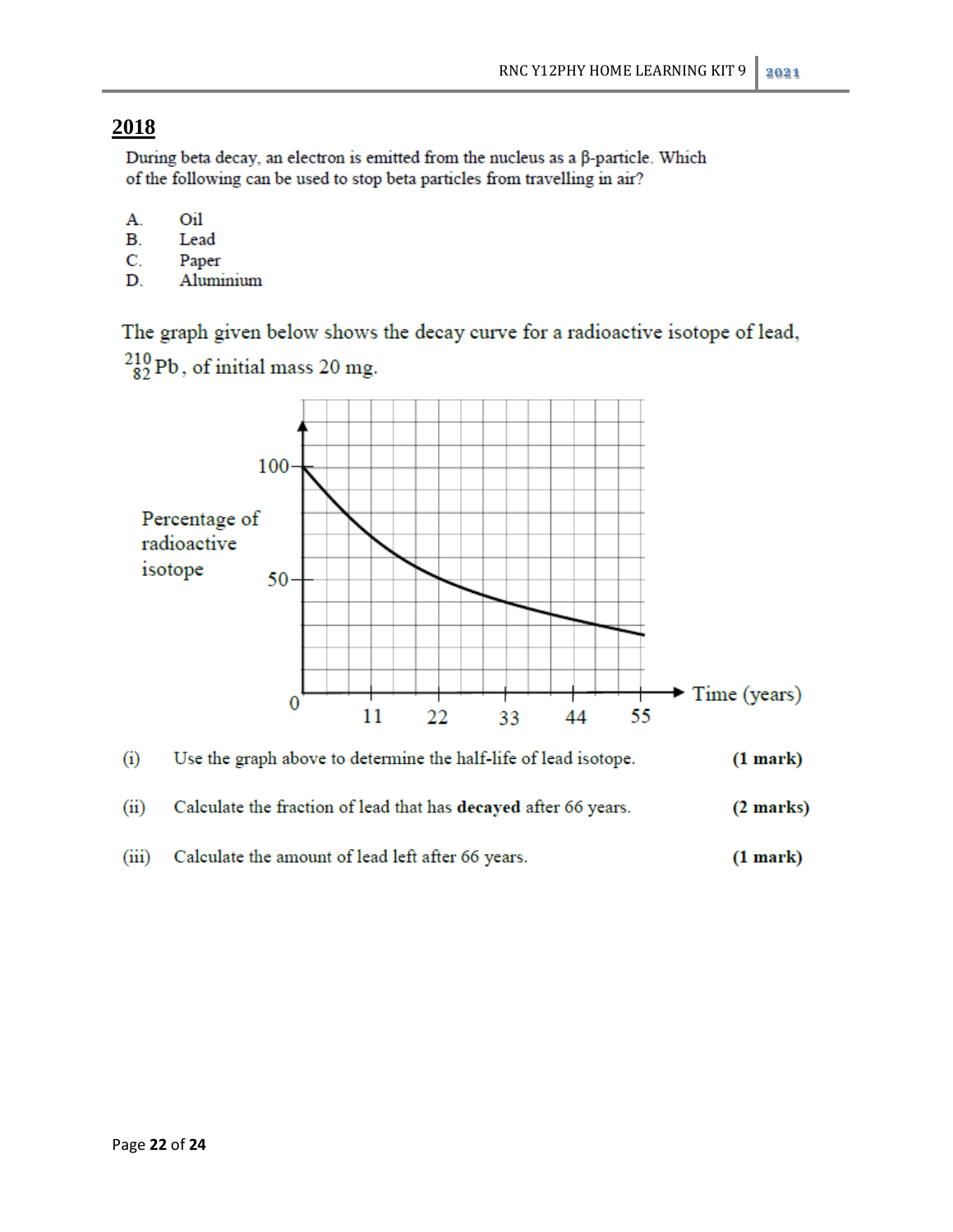During beta decay, an electron is emitted from the nucleus as a β-particle. Which of the following can be used to stop beta particles from travelling in air?

- А. Oil
- В. Lead
- C. Paper
- D. Aluminium

The graph given below shows the decay curve for a radioactive isotope of lead,



 $^{210}_{82}$ Pb, of initial mass 20 mg.

- Calculate the fraction of lead that has decayed after 66 years.  $(ii)$  $(2 marks)$
- Calculate the amount of lead left after 66 years.  $(iii)$  $(1 mark)$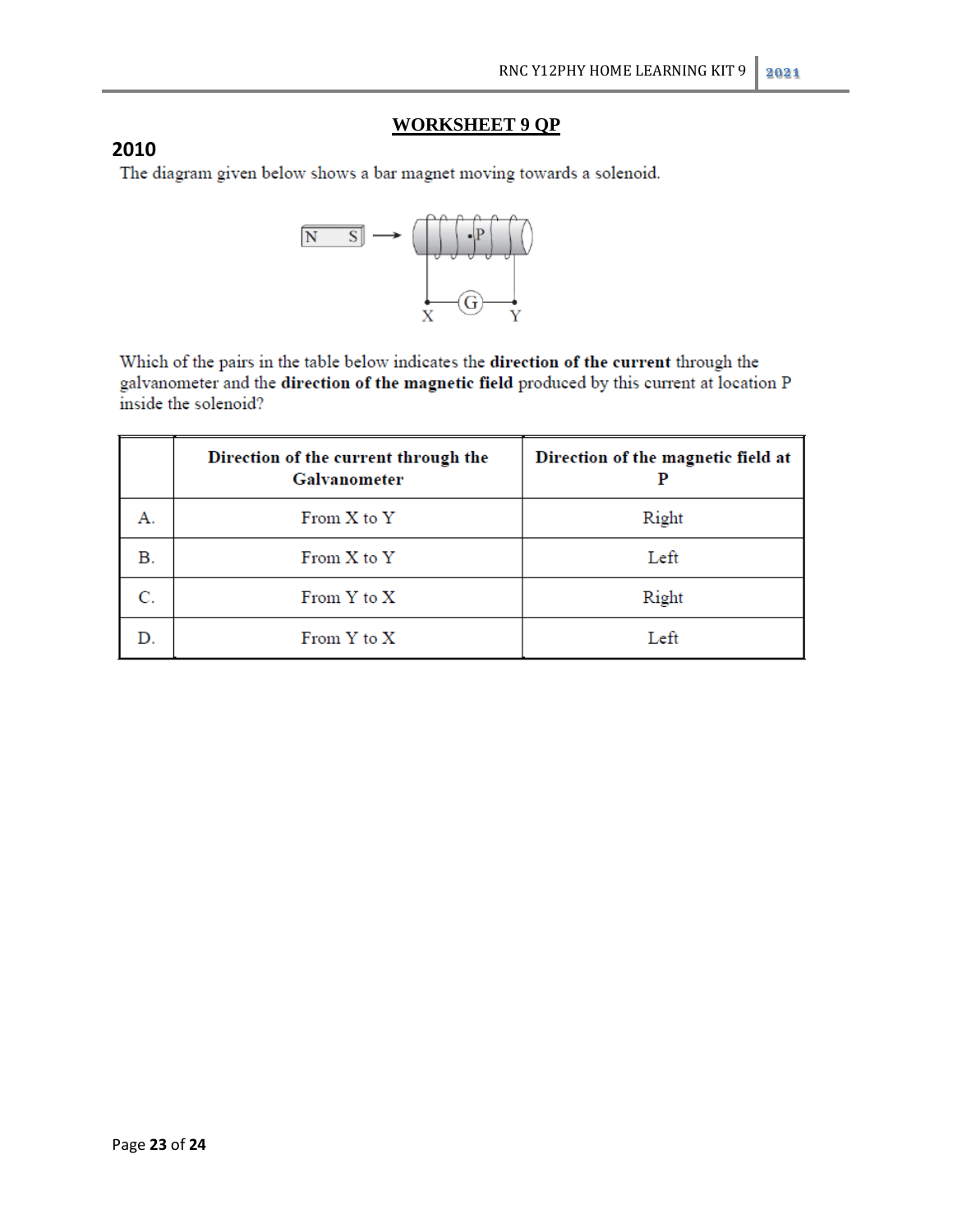# **WORKSHEET 9 QP**

2010<br>The diagram given below shows a bar magnet moving towards a solenoid.



Which of the pairs in the table below indicates the direction of the current through the galvanometer and the direction of the magnetic field produced by this current at location P inside the solenoid?

|    | Direction of the current through the<br>Galvanometer | Direction of the magnetic field at |
|----|------------------------------------------------------|------------------------------------|
| А. | From X to Y                                          | Right                              |
| В. | From X to Y                                          | Left                               |
|    | From Y to X                                          | Right                              |
|    | From Y to X                                          | Left                               |